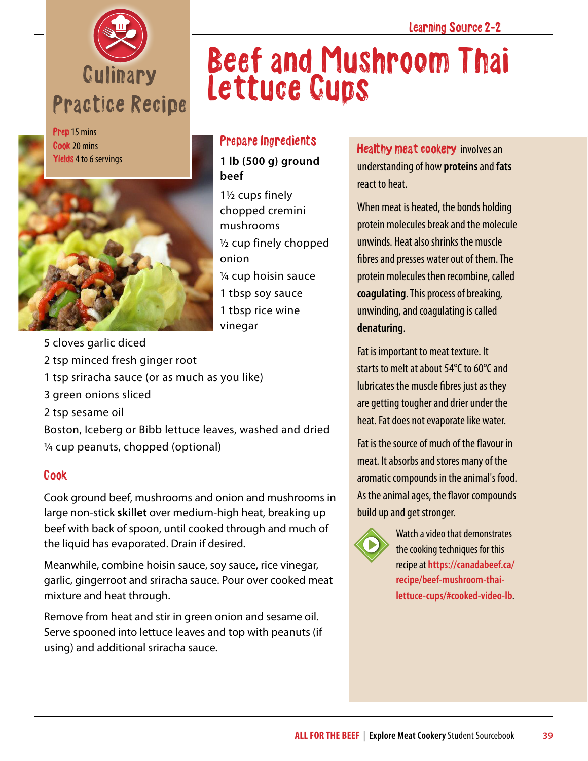

Prep 15 mins Cook 20 mins Yields 4 to 6 servings



## Beef and Mushroom Thai Lettuce Cups

## Prepare Ingredients

**1 lb (500 g) ground beef**

- 1½ cups finely chopped cremini mushrooms ½ cup finely chopped onion ¼ cup hoisin sauce 1 tbsp soy sauce 1 tbsp rice wine vinegar
- 5 cloves garlic diced
- 2 tsp minced fresh ginger root
- 1 tsp sriracha sauce (or as much as you like)
- 3 green onions sliced
- 2 tsp sesame oil

Boston, Iceberg or Bibb lettuce leaves, washed and dried ¼ cup peanuts, chopped (optional)

## Cook

Cook ground beef, mushrooms and onion and mushrooms in large non-stick **skillet** over medium-high heat, breaking up beef with back of spoon, until cooked through and much of the liquid has evaporated. Drain if desired.

Meanwhile, combine hoisin sauce, soy sauce, rice vinegar, garlic, gingerroot and sriracha sauce. Pour over cooked meat mixture and heat through.

Remove from heat and stir in green onion and sesame oil. Serve spooned into lettuce leaves and top with peanuts (if using) and additional sriracha sauce.

Healthy meat cookery involves an understanding of how **proteins** and **fats** react to heat.

When meat is heated, the bonds holding protein molecules break and the molecule unwinds. Heat also shrinks the muscle fibres and presses water out of them. The protein molecules then recombine, called **coagulating**. This process of breaking, unwinding, and coagulating is called **denaturing**.

Fat is important to meat texture. It starts to melt at about 54°C to 60°C and lubricates the muscle fibres just as they are getting tougher and drier under the heat. Fat does not evaporate like water.

Fat is the source of much of the flavour in meat. It absorbs and stores many of the aromatic compounds in the animal's food. As the animal ages, the flavor compounds build up and get stronger.



Watch a video that demonstrates the cooking techniques for this recipe at **[https://canadabeef.ca/](https://canadabeef.ca/recipe/beef-mushroom-thai-lettuce-cups/#cooked-video-lb) [recipe/beef-mushroom-thai](https://canadabeef.ca/recipe/beef-mushroom-thai-lettuce-cups/#cooked-video-lb)[lettuce-cups/#cooked-video-lb](https://canadabeef.ca/recipe/beef-mushroom-thai-lettuce-cups/#cooked-video-lb)**.